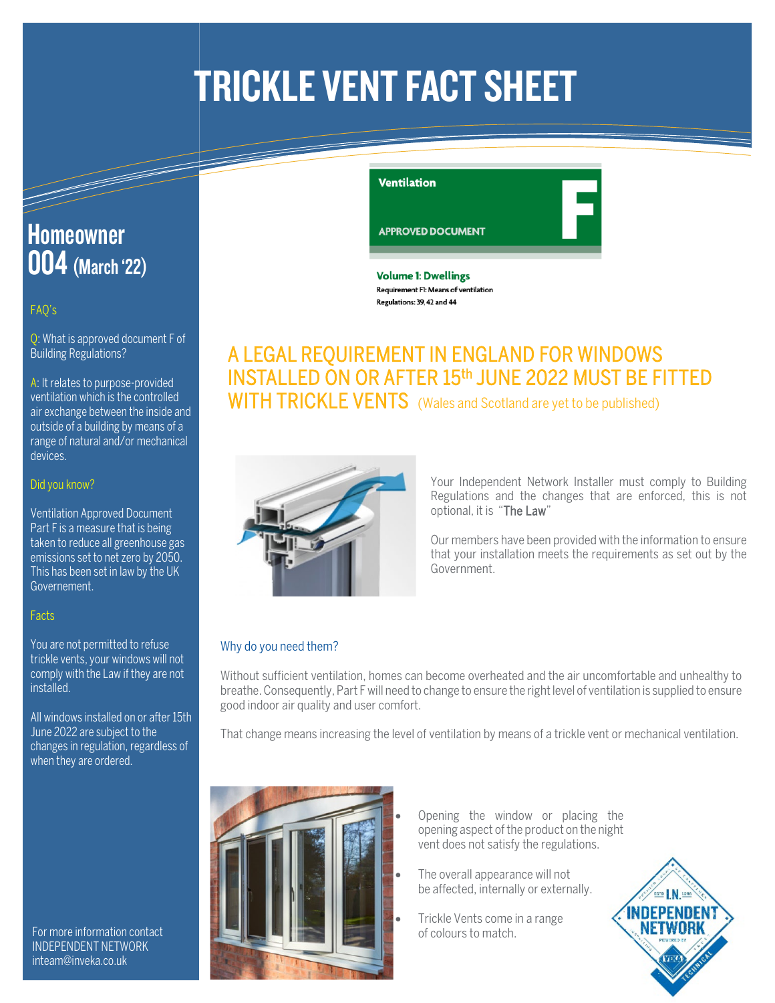# **TRICKLE VENT FACT SHEET**

## **Homeowner 004** (March '22)

### FAQ's

Q: What is approved document F of Building Regulations?

A: It relates to purpose-provided ventilation which is the controlled air exchange between the inside and outside of a building by means of a range of natural and/or mechanical devices.

### Did you know?

Ventilation Approved Document Part F is a measure that is being taken to reduce all greenhouse gas emissions set to net zero by 2050. This has been set in law by the UK Governement.

### **Facts**

You are not permitted to refuse trickle vents, your windows will not comply with the Law if they are not installed.

All windows installed on or after 15th June 2022 are subject to the changes in regulation, regardless of when they are ordered.

For more information contact INDEPENDENT NETWORK inteam@inveka.co.uk

### **Ventilation**

**APPROVED DOCUMENT** 

**Volume 1: Dwellings** Requirement FI: Means of ventilation Regulations: 39, 42 and 44

### A LEGAL REQUIREMENT IN ENGLAND FOR WINDOWS INSTALLED ON OR AFTER 15th JUNE 2022 MUST BE FITTED WITH TRICKLE VENTS (Wales and Scotland are yet to be published)



Your Independent Network Installer must comply to Building Regulations and the changes that are enforced, this is not optional, it is "The Law"

Our members have been provided with the information to ensure that your installation meets the requirements as set out by the Government.

### Why do you need them?

Without sufficient ventilation, homes can become overheated and the air uncomfortable and unhealthy to breathe. Consequently, Part F will need to change to ensure the right level of ventilation is supplied to ensure good indoor air quality and user comfort.

That change means increasing the level of ventilation by means of a trickle vent or mechanical ventilation.



- Opening the window or placing the opening aspect of the product on the night vent does not satisfy the regulations.
- The overall appearance will not be affected, internally or externally.
- Trickle Vents come in a range of colours to match.